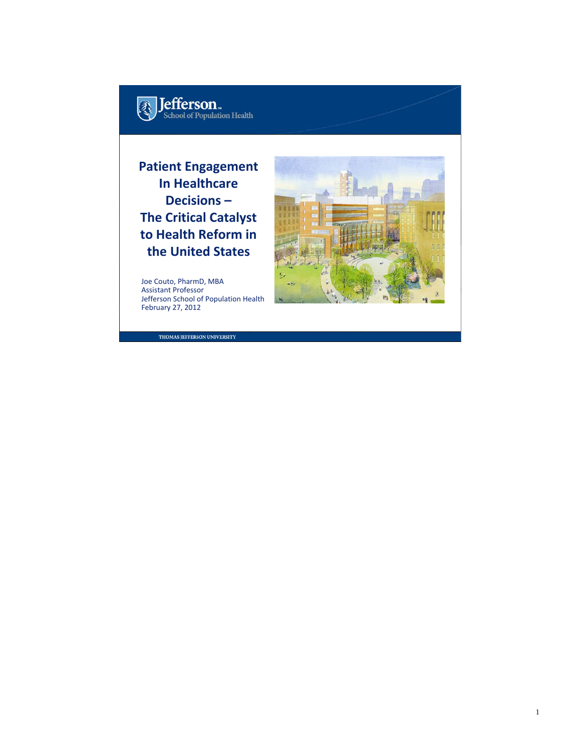

#### **Patient Engagement In Healthcare Decisions – The Critical Catalyst to Health Reform in the United States**

Joe Couto, PharmD, MBA Assistant Professor Jefferson School of Population Health February 27, 2012

THOMAS JEFFERSON UNIVERSITY

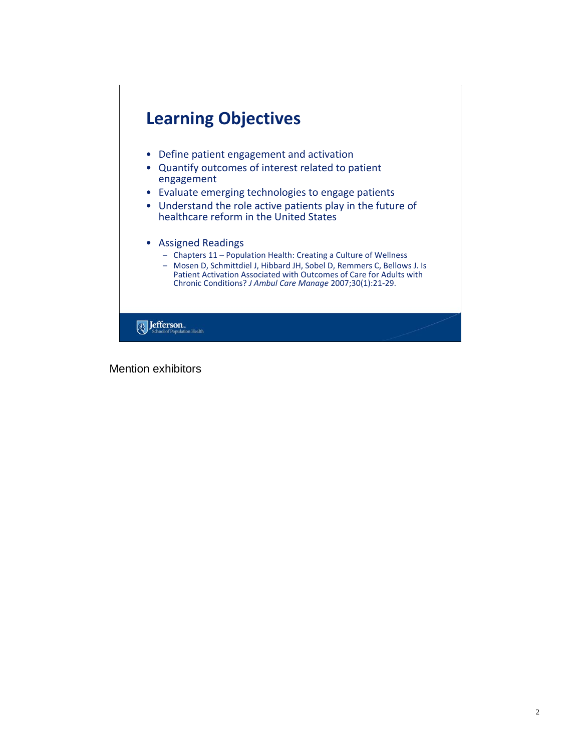

Mention exhibitors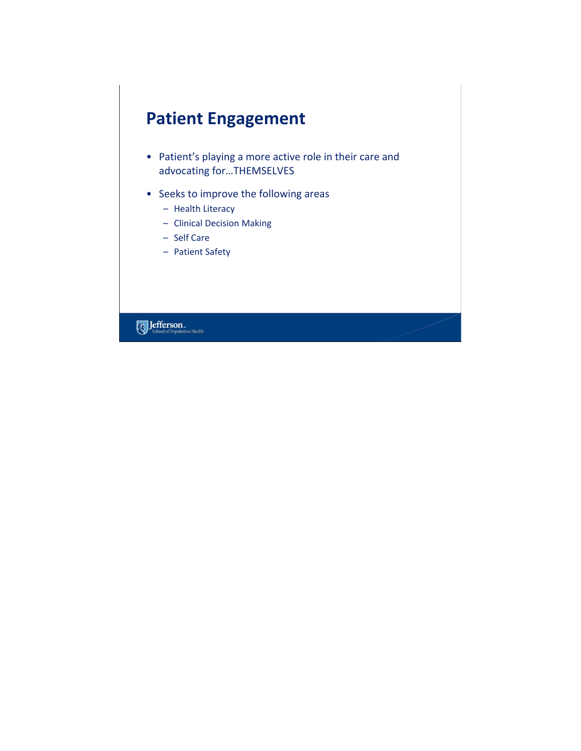# **Patient Engagement**

- Patient's playing a more active role in their care and advocating for…THEMSELVES
- Seeks to improve the following areas
	- Health Literacy
	- Clinical Decision Making
	- Self Care
	- Patient Safety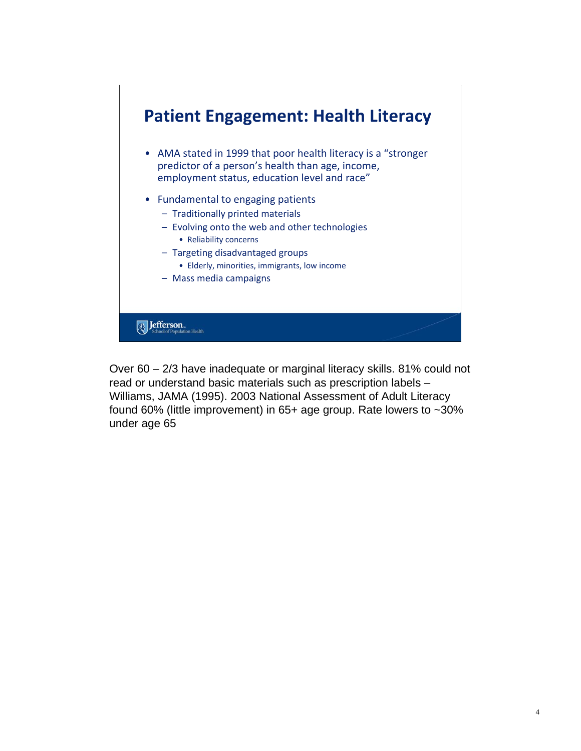

Over 60 – 2/3 have inadequate or marginal literacy skills. 81% could not read or understand basic materials such as prescription labels – Williams, JAMA (1995). 2003 National Assessment of Adult Literacy found 60% (little improvement) in 65+ age group. Rate lowers to ~30% under age 65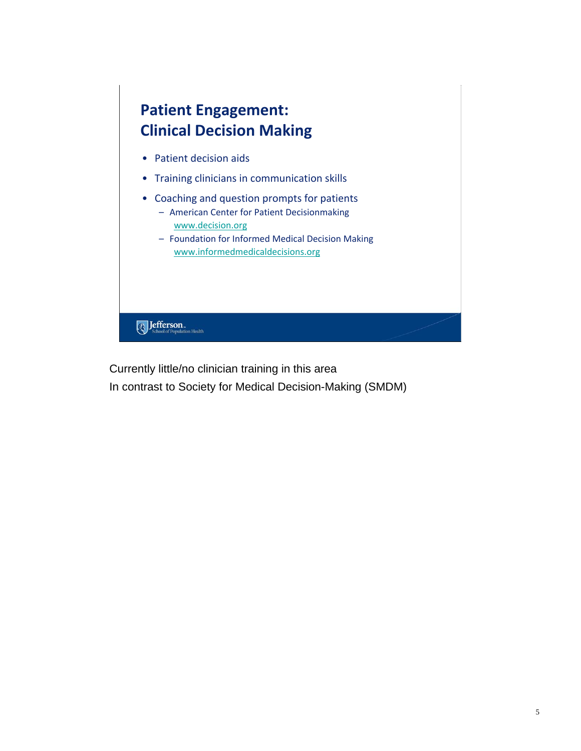

Currently little/no clinician training in this area

In contrast to Society for Medical Decision-Making (SMDM)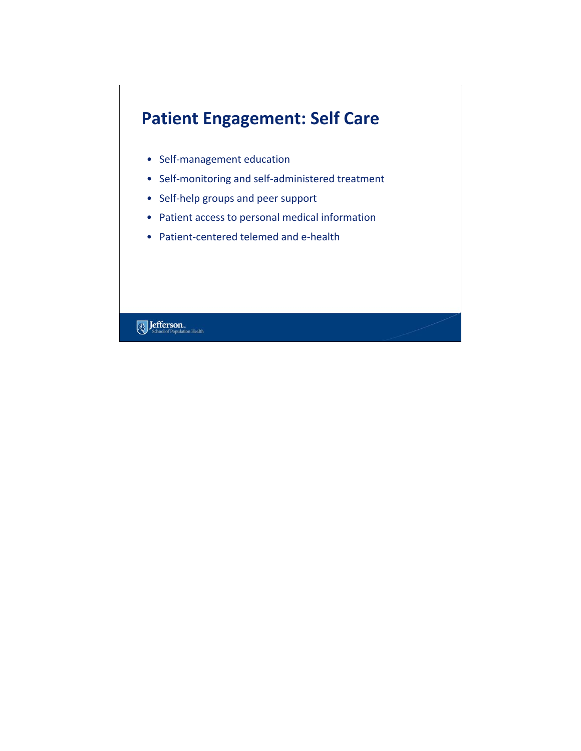# **Patient Engagement: Self Care**

- Self‐management education
- Self‐monitoring and self‐administered treatment
- Self‐help groups and peer support
- Patient access to personal medical information
- Patient‐centered telemed and e‐health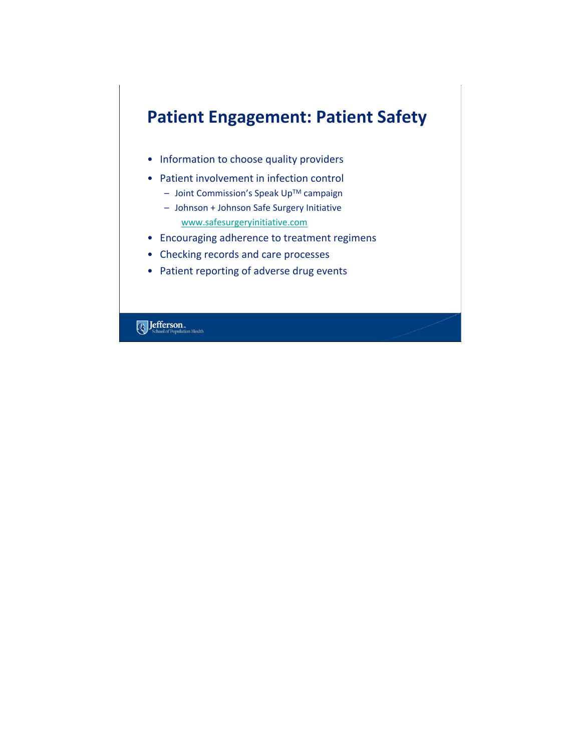# **Patient Engagement: Patient Safety**

- Information to choose quality providers
- Patient involvement in infection control
	- Joint Commission's Speak UpTM campaign
	- Johnson + Johnson Safe Surgery Initiative www.safesurgeryinitiative.com
- Encouraging adherence to treatment regimens
- Checking records and care processes
- Patient reporting of adverse drug events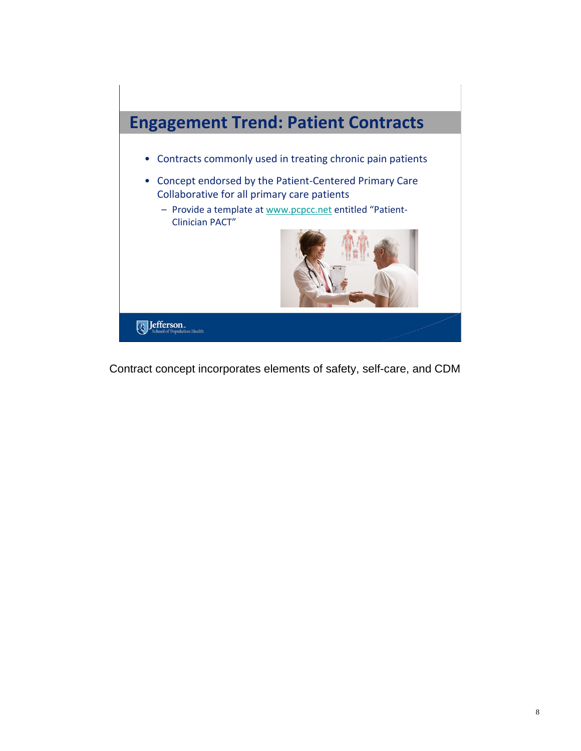

Contract concept incorporates elements of safety, self-care, and CDM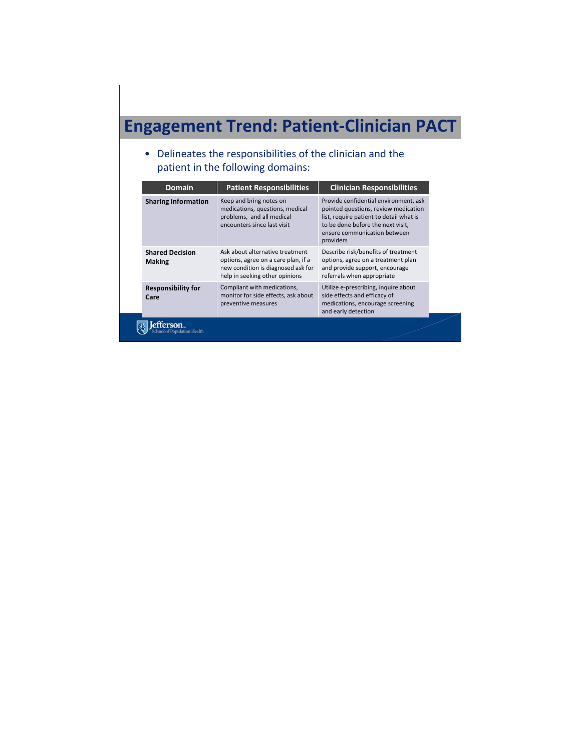# **Engagement Trend: Patient‐Clinician PACT**

• Delineates the responsibilities of the clinician and the patient in the following domains:

| <b>Domain</b>                           | <b>Patient Responsibilities</b>                                                                                                                | <b>Clinician Responsibilities</b>                                                                                                                                                                          |
|-----------------------------------------|------------------------------------------------------------------------------------------------------------------------------------------------|------------------------------------------------------------------------------------------------------------------------------------------------------------------------------------------------------------|
| <b>Sharing Information</b>              | Keep and bring notes on<br>medications, questions, medical<br>problems, and all medical<br>encounters since last visit                         | Provide confidential environment, ask<br>pointed questions, review medication<br>list, require patient to detail what is<br>to be done before the next visit,<br>ensure communication between<br>providers |
| <b>Shared Decision</b><br><b>Making</b> | Ask about alternative treatment<br>options, agree on a care plan, if a<br>new condition is diagnosed ask for<br>help in seeking other opinions | Describe risk/benefits of treatment<br>options, agree on a treatment plan<br>and provide support, encourage<br>referrals when appropriate                                                                  |
| <b>Responsibility for</b><br>Care       | Compliant with medications,<br>monitor for side effects, ask about<br>preventive measures                                                      | Utilize e-prescribing, inquire about<br>side effects and efficacy of<br>medications, encourage screening<br>and early detection                                                                            |
| ulation Health                          |                                                                                                                                                |                                                                                                                                                                                                            |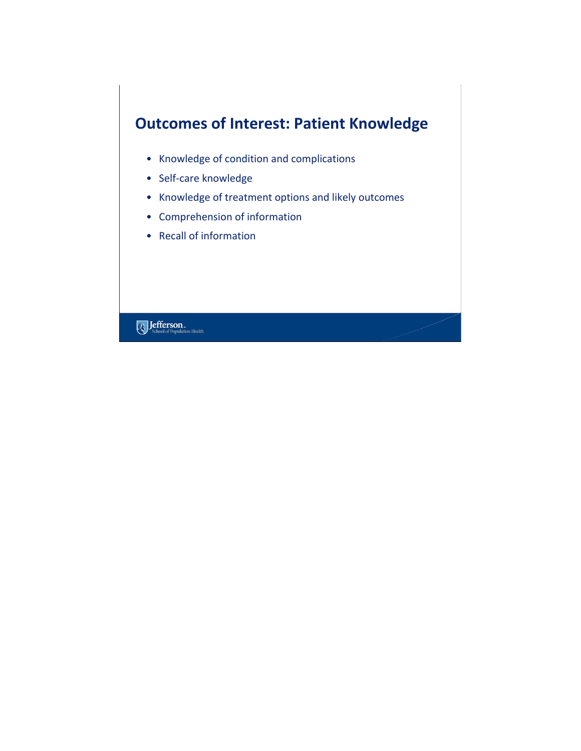### **Outcomes of Interest: Patient Knowledge**

- Knowledge of condition and complications
- Self‐care knowledge
- Knowledge of treatment options and likely outcomes
- Comprehension of information
- Recall of information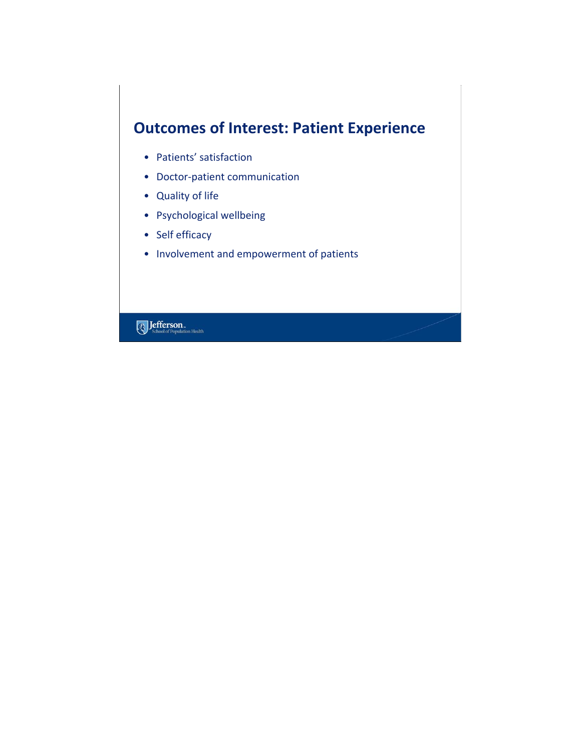### **Outcomes of Interest: Patient Experience**

- Patients' satisfaction
- Doctor‐patient communication
- Quality of life
- Psychological wellbeing
- Self efficacy
- Involvement and empowerment of patients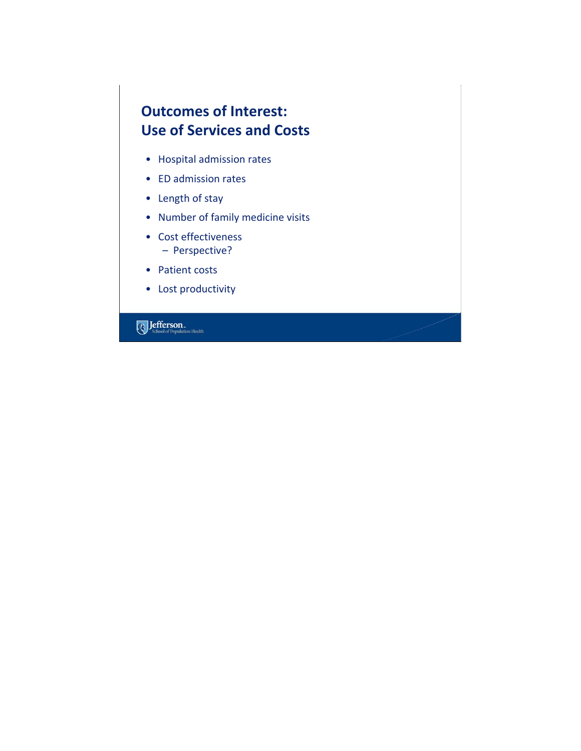#### **Outcomes of Interest: Use of Services and Costs**

- Hospital admission rates
- ED admission rates
- Length of stay
- Number of family medicine visits
- Cost effectiveness – Perspective?
- Patient costs
- Lost productivity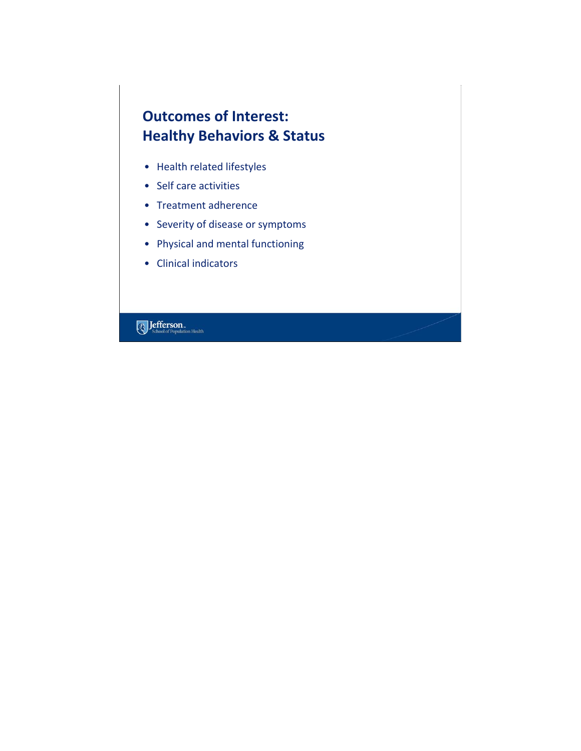#### **Outcomes of Interest: Healthy Behaviors & Status**

- Health related lifestyles
- Self care activities
- Treatment adherence
- Severity of disease or symptoms
- Physical and mental functioning
- Clinical indicators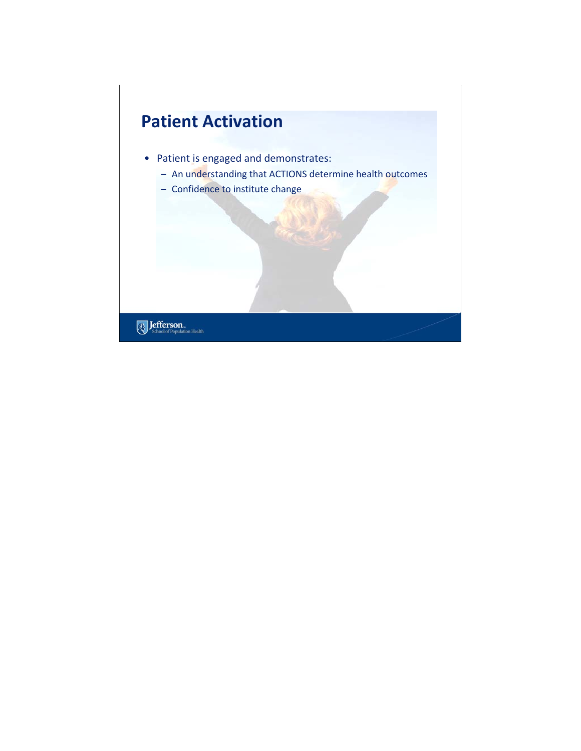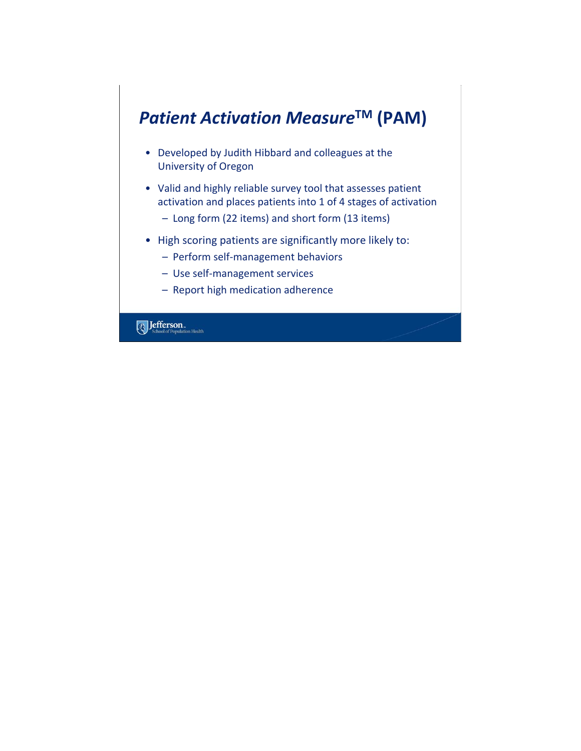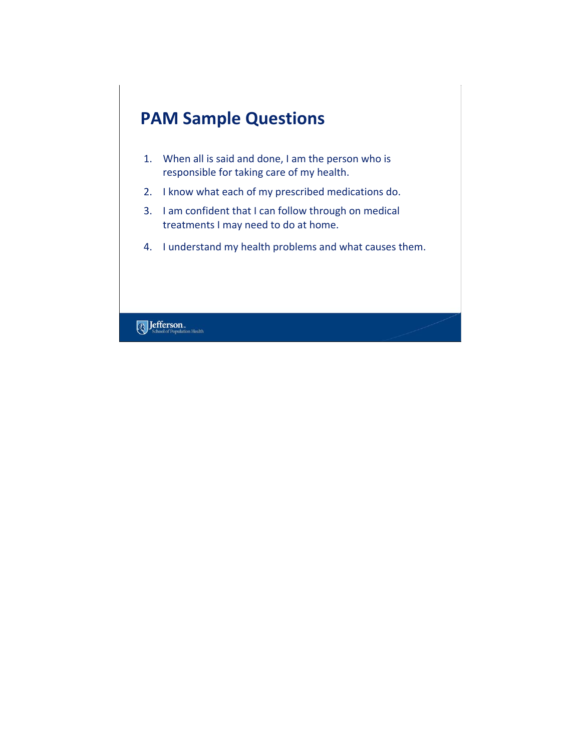

- 1. When all is said and done, I am the person who is responsible for taking care of my health.
- 2. I know what each of my prescribed medications do.
- 3. I am confident that I can follow through on medical treatments I may need to do at home.
- 4. I understand my health problems and what causes them.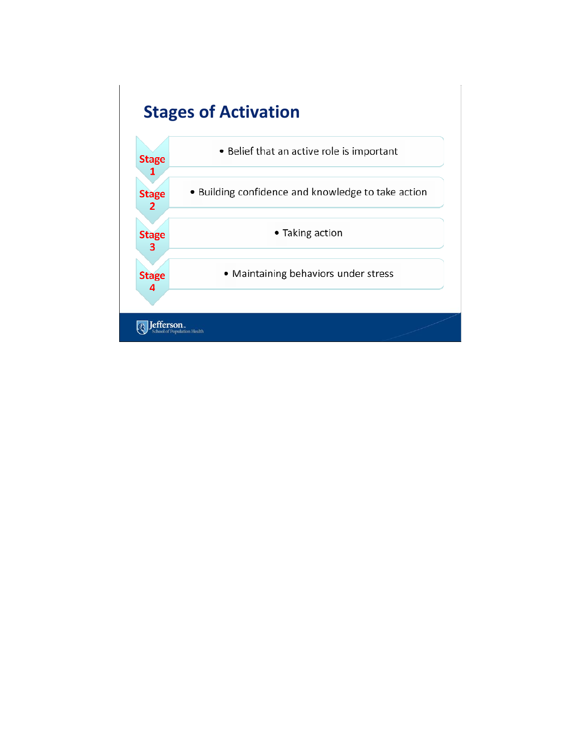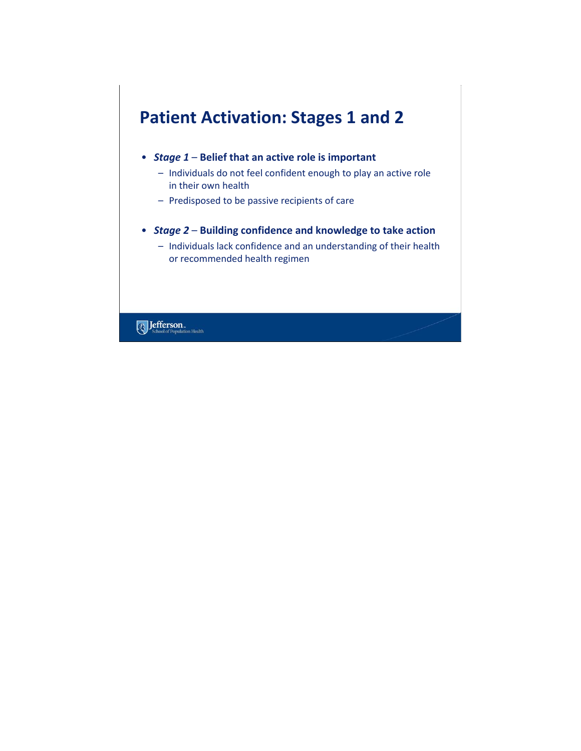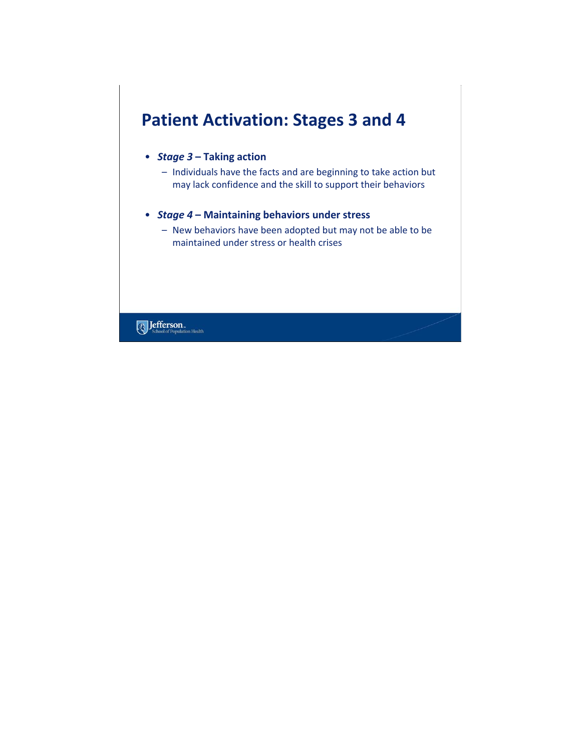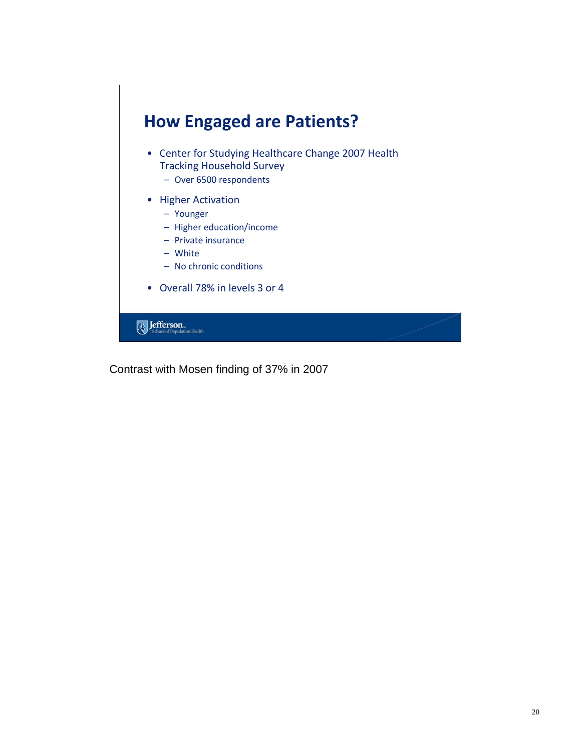

Contrast with Mosen finding of 37% in 2007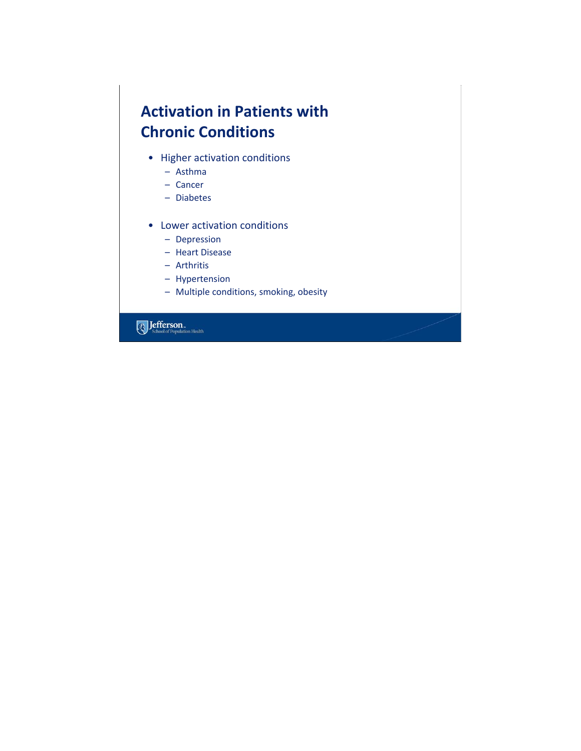#### **Activation in Patients with Chronic Conditions**

- Higher activation conditions
	- Asthma
	- Cancer
	- Diabetes
- Lower activation conditions
	- Depression
	- Heart Disease
	- Arthritis
	- Hypertension
	- Multiple conditions, smoking, obesity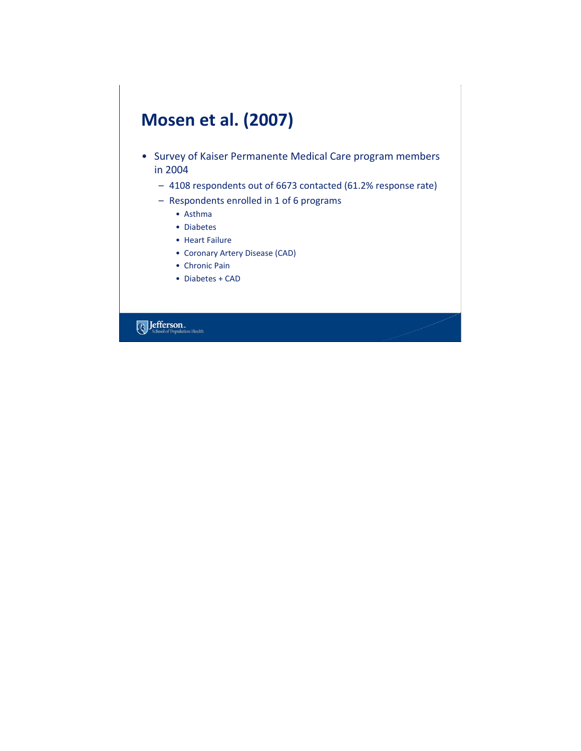# **Mosen et al. (2007)**

- Survey of Kaiser Permanente Medical Care program members in 2004
	- 4108 respondents out of 6673 contacted (61.2% response rate)
	- Respondents enrolled in 1 of 6 programs
		- Asthma
		- Diabetes
		- Heart Failure
		- Coronary Artery Disease (CAD)
		- Chronic Pain
		- Diabetes + CAD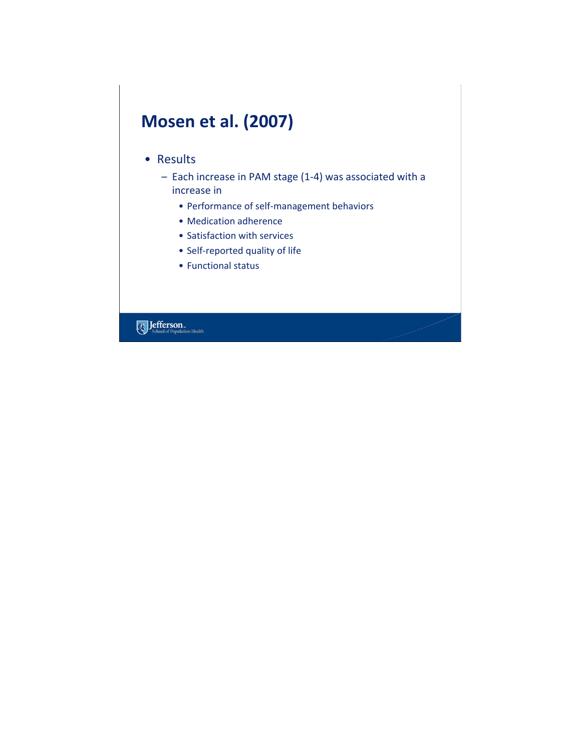# **Mosen et al. (2007)**

#### • Results

- Each increase in PAM stage (1‐4) was associated with a increase in
	- Performance of self‐management behaviors
	- Medication adherence
	- Satisfaction with services
	- Self‐reported quality of life
	- Functional status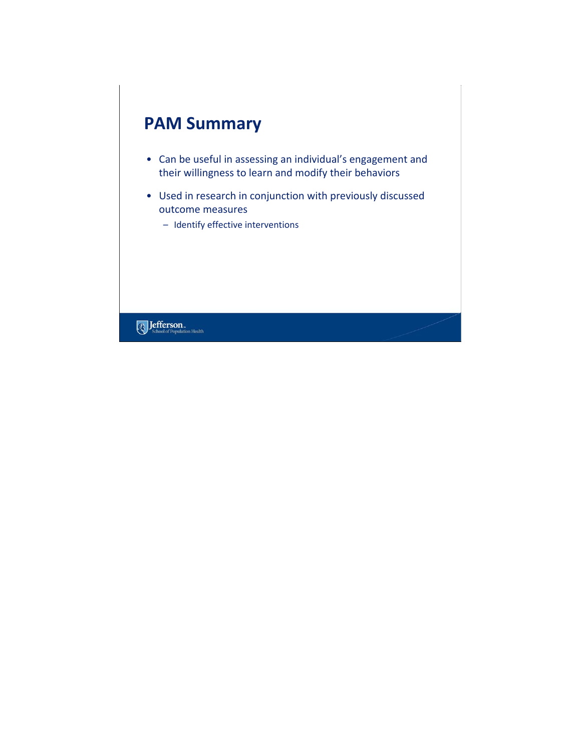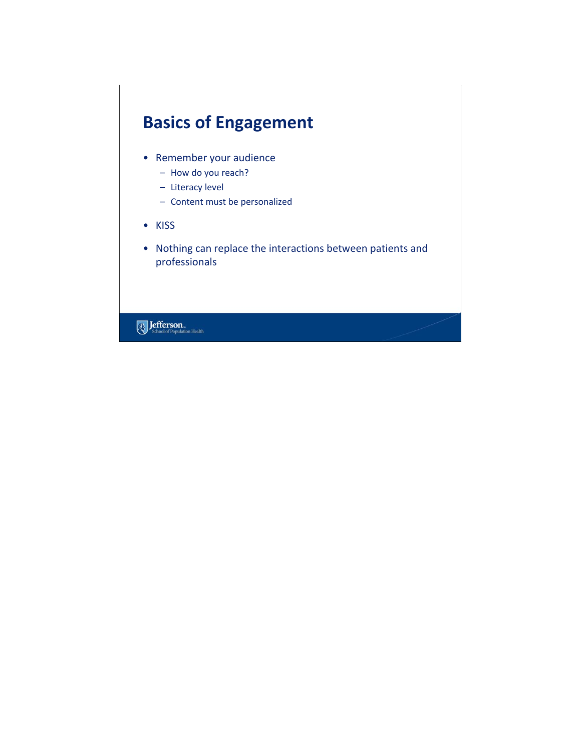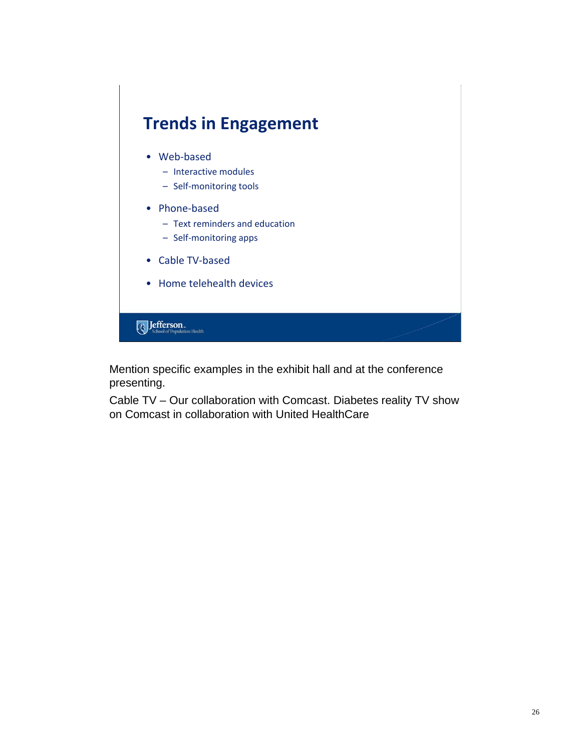

Mention specific examples in the exhibit hall and at the conference presenting.

Cable TV – Our collaboration with Comcast. Diabetes reality TV show on Comcast in collaboration with United HealthCare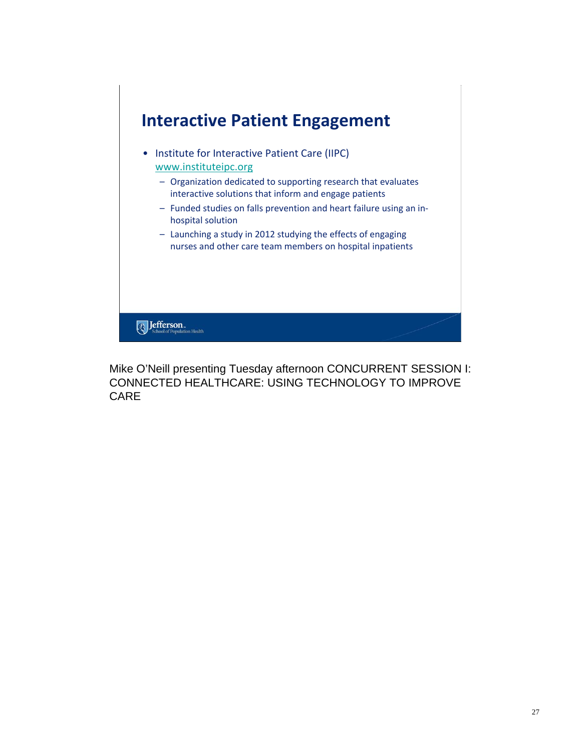

Mike O'Neill presenting Tuesday afternoon CONCURRENT SESSION I: CONNECTED HEALTHCARE: USING TECHNOLOGY TO IMPROVE CARE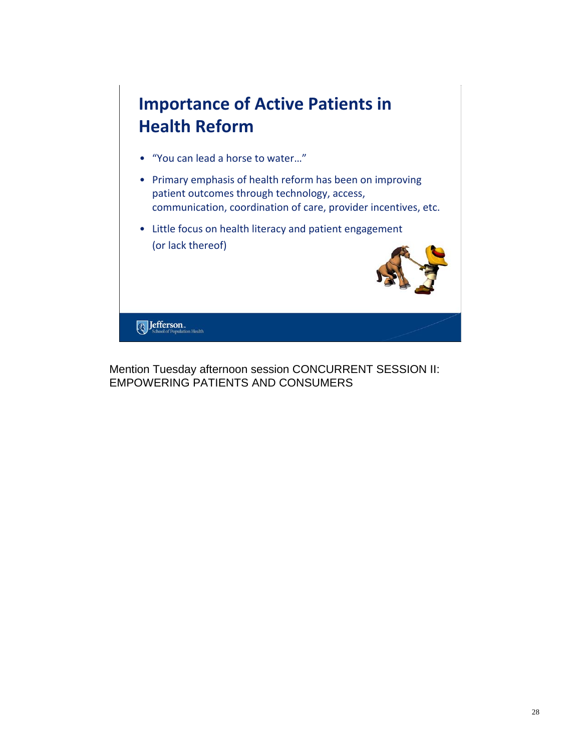

Mention Tuesday afternoon session CONCURRENT SESSION II: EMPOWERING PATIENTS AND CONSUMERS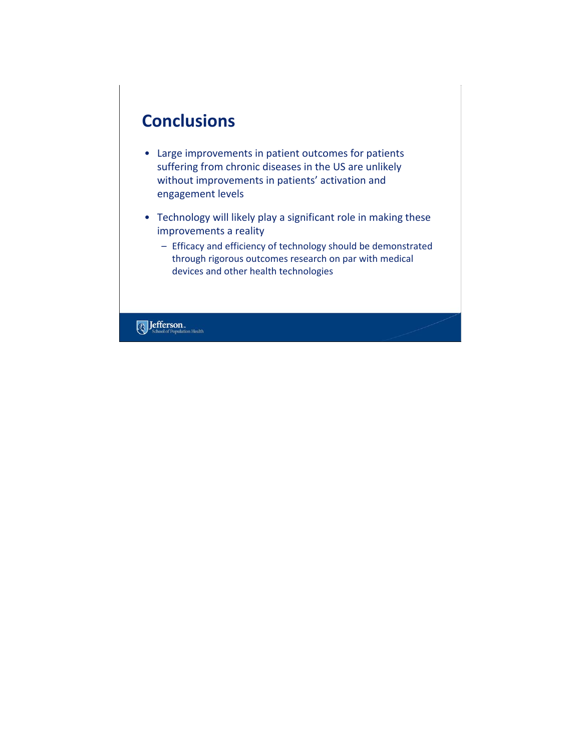# **Conclusions**

- Large improvements in patient outcomes for patients suffering from chronic diseases in the US are unlikely without improvements in patients' activation and engagement levels
- Technology will likely play a significant role in making these improvements a reality
	- Efficacy and efficiency of technology should be demonstrated through rigorous outcomes research on par with medical devices and other health technologies